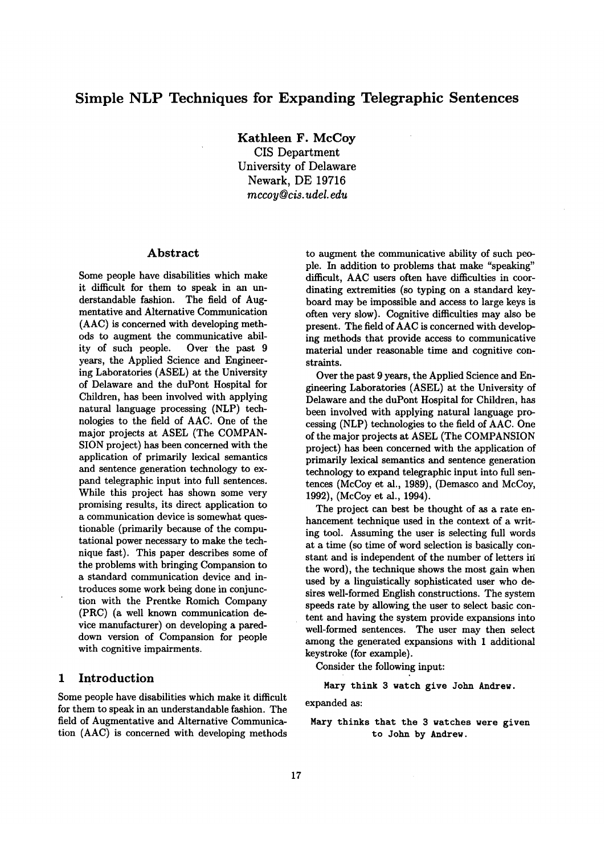# **Simple NLP Techniques for Expanding Telegraphic Sentences**

**Kathleen F.** McCoy CIS Department University of Delaware Newark, DE 19716 *mccoy@cis, udel. edu* 

#### Abstract

Some people have disabilities which make it difficult for them to speak in an understandable fashion. The field of Augmentative and Alternative Communication (AAC) is concerned with developing methods to augment the communicative ability of such people. Over the past 9 years, the Applied Science and Engineering Laboratories (ASEL) at the University of Delaware and the duPont Hospital for Children, has been involved with applying natural language processing (NLP) technologies to the field of AAC. One of the major projects at ASEL (The COMPAN-SION project) has been concerned with the application of primarily lexical semantics and sentence generation technology to expand telegraphic input into full sentences. While this project has shown some very promising results, its direct application to a communication device is somewhat questionable (primarily because of the computational power necessary to make the technique fast). This paper describes some of the problems with bringing Compansion to a standard communication device and introduces some work being done in conjunction with the Prentke Romich Company (PRC) (a well known communication device manufacturer) on developing a pareddown version of Compansion for people with cognitive impairments.

## 1 Introduction

Some people have disabilities which make it difficult for them to speak in an understandable fashion. The field of Augmentative and Alternative Communication (AAC) is concerned with developing methods to augment the communicative ability of such people. In addition to problems that make "speaking" difficult, AAC users often have difficulties in coordinating extremities (so typing on a standard keyboard may be impossible and access to large keys is often very slow). Cognitive difficulties may also be present. The field of AAC is concerned with developing methods that provide access to communicative material under reasonable time and cognitive constraints.

Over the past 9 years, the Applied Science and Engineering Laboratories (ASEL) at the University of Delaware and the duPont Hospital for Children, has been involved with applying natural language processing (NLP) technologies to the field of AAC. One of the major projects at ASEL (The COMPANSION project) has been concerned with the application of primarily lexical semantics and sentence generation technology to expand telegraphic input into full sentences (McCoy et al., 1989), (Demasco and McCoy, 1992), (McCoy et al., 1994).

The project can best be thought of as a rate enhancement technique used in the context of a writing tool. Assuming the user is selecting full words at a time (so time of word selection is basically constant and is independent of the number of letters iri the word), the technique shows the most gain when used by a linguistically sophisticated user who desires well-formed English constructions. The system speeds rate by allowing the user to select basic content and having the system provide expansions into well-formed sentences. The user may then select among the generated expansions with 1 additional keystroke (for example).

Consider the following input:

Mary think 3 watch give John Andrew.

expanded as:

Mary thinks that the 3 watches were **given**  to John by Andrew.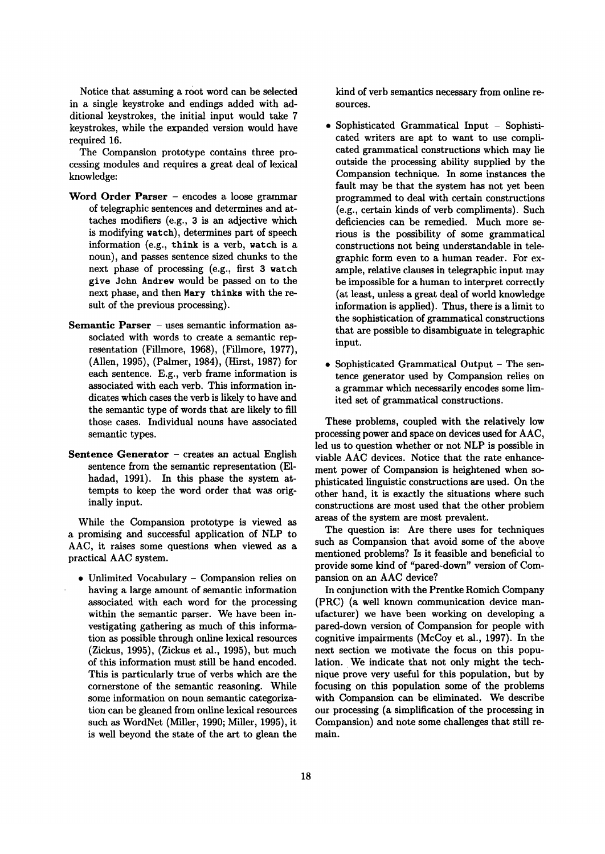Notice that assuming a root word can be selected in a single keystroke and endings added with additional keystrokes, the initial input would take 7 keystrokes, while the expanded version would have required 16.

The Compansion prototype contains three processing modules and requires a great deal of lexical knowledge:

- Word Order Parser encodes a loose grammar of telegraphic sentences and determines and attaches modifiers (e.g., 3 is an adjective which is modifying watch), determines part of speech information (e.g., think is a verb, watch is a noun), and passes sentence sized chunks to the next phase of processing (e.g., first 3 watch give John Andrew would be passed on to the next phase, and then Mary thinks with the result of the previous processing).
- Semantic Parser uses semantic information associated with words to create a semantic representation (Fillmore, 1968), (Fillmore, 1977), (Allen, 1995), (Palmer, 1984), (Hirst, 1987) for each sentence. E.g., verb frame information is associated with each verb. This information indicates which cases the verb is likely to have and the semantic type of words that are likely to fill those cases. Individual nouns have associated semantic types.
- Sentence Generator creates an actual English sentence from the semantic representation (E1 hadad, 1991). In this phase the system attempts to keep the word order that was originally input.

While the Compansion prototype is viewed as a promising and successful application of NLP to AAC, it raises some questions when viewed as a practical AAC system.

• Unlimited Vocabulary - Compansion relies on having a large amount of semantic information associated with each word for the processing within the semantic parser. We have been investigating gathering as much of this information as possible through online lexical resources (Zickus, 1995), (Zickus et al., 1995), but much of this information must still be hand encoded. This is particularly true of verbs which are the cornerstone of the semantic reasoning. While some information on noun semantic categorization can be gleaned from online lexical resources such as WordNet (Miller, 1990; Miller, 1995), it is well beyond the state of the art to glean the kind of verb semantics necessary from online resources.

- Sophisticated Grammatical Input Sophisticated writers are apt to want to use complicated grammatical constructions which may lie outside the processing ability supplied by the Compansion technique. In some instances the fault may be that the system has not yet been programmed to deal with certain constructions (e.g., certain kinds of verb compliments). Such deficiencies can be remedied. Much more serious is the possibility of some grammatical constructions not being understandable in telegraphic form even to a human reader. For example, relative clauses in telegraphic input may be impossible for a human to interpret correctly (at least, unless a great deal of world knowledge information is applied). Thus, there is a limit to the sophistication of grammatical constructions that are possible to disambiguate in telegraphic input.
- Sophisticated Grammatical Output The sentence generator used by Compansion relies on a grammar which necessarily encodes some limited set of grammatical constructions.

These problems, coupled with the relatively low processing power and space on devices used for AAC, led us to question whether or not NLP is possible in viable AAC devices. Notice that the rate enhancement power of Compansion is heightened when sophisticated linguistic constructions are used. On the other hand, it is exactly the situations where such constructions are most used that the other problem areas of the system are most prevalent.

The question is: Are there uses for techniques such as Compansion that avoid some of the above mentioned problems? Is it feasible and beneficial to provide some kind of "pared-down" version of Compansion on an AAC device?

In conjunction with the Prentke Romich Company (PRC) (a well known communication device manufacturer) we have been working on developing a pared-down version of Compansion for people with cognitive impairments (McCoy et al., 1997). In the next section we motivate the focus on this population. We indicate that not only might the technique prove very useful for this population, but by focusing on this population some of the problems with Compansion can be eliminated. We describe our processing (a simplification of the processing in Compansion) and note some challenges that still remain.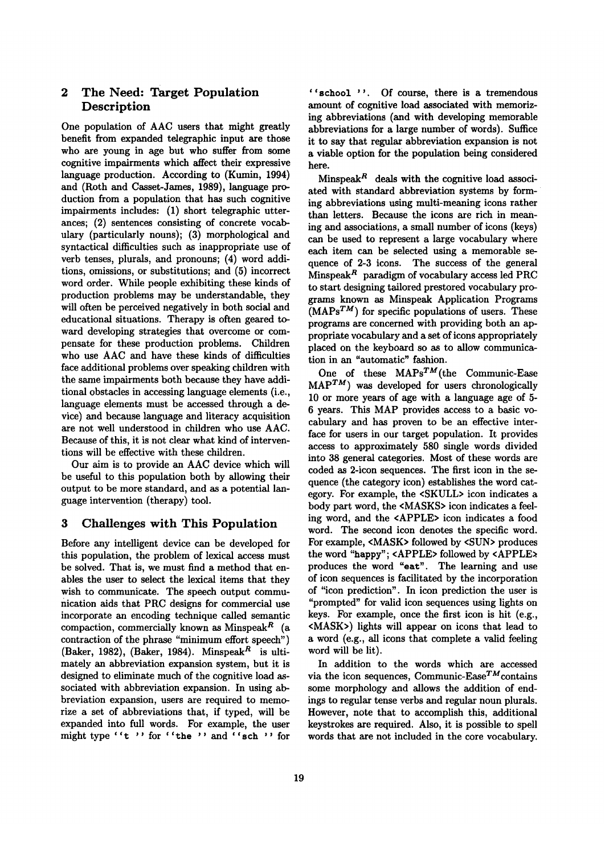## 2 The Need: Target **Population Description**

One population of AAC users that might greatly benefit from expanded telegraphic input are those who are young in age but who suffer from some cognitive impairments which affect their expressive language production. According to (Kumin, 1994) and (Roth and Casset-James, 1989), language production from a population that has such cognitive impairments includes: (1) short telegraphic utterances; (2) sentences consisting of concrete vocabulary (particularly nouns); (3) morphological and syntactical difficulties such as inappropriate use of verb tenses, plurals, and pronouns; (4) word additions, omissions, or substitutions; and (5) incorrect word order. While people exhibiting these kinds of production problems may be understandable, they will often be perceived negatively in both social and educational situations. Therapy is often geared toward developing strategies that overcome or compensate for these production problems. Children who use AAC and have these kinds of difficulties face additional problems over speaking children with the same impairments both because they have additional obstacles in accessing language elements (i.e., language elements must be accessed through a device) and because language and literacy acquisition are not well understood in children who use AAC. Because of this, it is not clear what kind of interventions will be effective with these children.

Our aim is to provide an AAC device which will be useful to this population both by allowing their output to be more standard, and as a potential language intervention (therapy) tool.

## 3 Challenges with This Population

Before any intelligent device can be developed for this population, the problem of lexical access must be solved. That is, we must find a method that enables the user to select the lexical items that they wish to communicate. The speech output communication aids that PRC designs for commercial use incorporate an encoding technique called semantic compaction, commercially known as Minspeak  $R$  (a contraction of the phrase "minimum effort speech") (Baker, 1982), (Baker, 1984). Minspeak $R$  is ultimately an abbreviation expansion system, but it is designed to eliminate much of the cognitive load associated with abbreviation expansion. In using abbreviation expansion, users are required to memorize a set of abbreviations that, if typed, will be expanded into full words. For example, the user might type  $``t''$  for  $``the''$  and  $``sch''$  for

' 'school ' '. Of course, there is a tremendous amount of cognitive load associated with memorizing abbreviations (and with developing memorable abbreviations for a large number of words). Suffice it to say that regular abbreviation expansion is not a viable option for the population being considered here.

Minspeak<sup>R</sup> deals with the cognitive load associated with standard abbreviation systems by forming abbreviations using multi-meaning icons rather than letters. Because the icons are rich in meaning and associations, a small number of icons (keys) can be used to represent a large vocabulary where each item can be selected using a memorable sequence of 2-3 icons. The success of the general Minspeak $R$  paradigm of vocabulary access led PRC to start designing tailored prestored vocabulary programs known as Minspeak Application Programs  $(MAPs<sup>TM</sup>)$  for specific populations of users. These programs are concerned with providing both an appropriate vocabulary and a set of icons appropriately placed on the keyboard so as to allow communication in an "automatic" fashion.

One of these  $MAPs^{TM}$ (the Communic-Ease  $MAP^{TM}$ ) was developed for users chronologically 10 or more years of age with a language age of 5- 6 years. This MAP provides access to a basic vocabulary and has proven to be an effective interface for users in our target population. It provides access to approximately 580 single words divided into 38 general categories. Most of these words are coded as 2-icon sequences. The first icon in the sequence (the category icon) establishes the word category. For example, the <SKULL> icon indicates a body part word, the <MASKS> icon indicates a feeling word, and the <APPLE> icon indicates a food word. The second icon denotes the specific word. For example, <MASK> followed by <SUN> produces the word "happy"; <APPLE> followed by <APPLE>. produces the word "eat". The learning and use of icon sequences is facilitated by the incorporation of "icon prediction". In icon prediction the user is "prompted" for valid icon sequences using lights on keys. For example, once the first icon is hit (e.g., <MASK>) lights will appear on icons that lead to a word (e.g., all icons that complete a valid feeling word will be lit).

In addition to the words which are accessed via the icon sequences, Communic-Ease<sup>TM</sup> contains some morphology and allows the addition of endings to regular tense verbs and regular noun plurals. However, note that to accomplish this, additional keystrokes are required. Also, it is possible to spell words that are not included in the core vocabulary.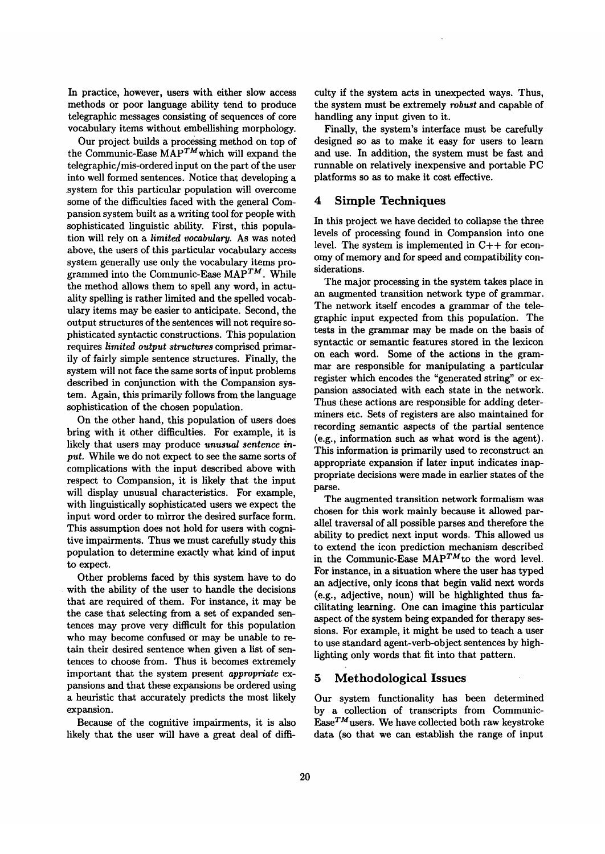In practice, however, users with either slow access methods or poor language ability tend to produce telegraphic messages consisting of sequences of core vocabulary items without embellishing morphology.

Our project builds a processing method on top of the Communic-Ease  $MAP^{TM}$  which will expand the telegraphic/mis-ordered input on the part of the user into well formed sentences. Notice that developing a system for this particular population will overcome some of the difficulties faced with the general Compansion system built as a writing tool for people with sophisticated linguistic ability. First, this population will rely on a *limited vocabulary.* As was noted above, the users of this particular vocabulary access system generally use only the vocabulary items programmed into the Communic-Ease  $\text{MAP}^{TM}$ . While the method allows them to spell any word, in actuality spelling is rather limited and the spelled vocabulary items may be easier to anticipate. Second, the output structures of the sentences will not require sophisticated syntactic constructions. This population requires *limited output structures* comprised primarily of fairly simple sentence structures. Finally, the system will not face the same sorts of input problems described in conjunction with the Compansion system. Again, this primarily follows from the language sophistication of the chosen population.

On the other hand, this population of users does bring with it other difficulties. For example, it is likely that users may produce *unusual sentence input.* While we do not expect to see the same sorts of complications with the input described above with respect to Compansion, it is likely that the input will display unusual characteristics. For example, with linguistically sophisticated users we expect the input word order to mirror the desired surface form. This assumption does not hold for users with cognitive impairments. Thus we must carefully study this population to determine exactly what kind of input to expect.

Other problems faced by this system have to do with the ability of the user to handle the decisions that are required of them. For instance, it may be the case that selecting from a set of expanded sentences may prove very difficult for this population who may become confused or may be unable to retain their desired sentence when given a list of sentences to choose from. Thus it becomes extremely important that the system present *appropriate* expansions and that these expansions be ordered using a heuristic that accurately predicts the most likely expansion.

Because of the cognitive impairments, it is also likely that the user will have a great deal of difficulty if the system acts in unexpected ways. Thus, the system must be extremely *robust* and capable of handling any input given to it.

Finally, the system's interface must be carefully designed so as to make it easy for users to learn and use. In addition, the system must be fast and runnable on relatively inexpensive and portable PC platforms so as to make it cost effective.

## **4 Simple Techniques**

In this project we have decided to collapse the three levels of processing found in Compansion into one level. The system is implemented in C++ for economy of memory and for speed and compatibility considerations.

The major processing in the system takes place in an augmented transition network type of grammar. The network itself encodes a grammar of the telegraphic input expected from this population. The tests in the grammar may be made on the basis of syntactic or semantic features stored in the lexicon on each word. Some of the actions in the grammar are responsible for manipulating a particular register which encodes the "generated string" or expansion associated with each state in the network. Thus these actions are responsible for adding determiners etc. Sets of registers axe also maintained for recording semantic aspects of the partial sentence (e.g., information such as what word is the agent). This information is primarily used to reconstruct an appropriate expansion if later input indicates inappropriate decisions were made in earlier states of the parse.

The augmented transition network formalism was chosen for this work mainly because it allowed parallel traversal of all possible parses and therefore the ability to predict next input words. This allowed us to extend the icon prediction mechanism described in the Communic-Ease  $\text{MAP}^{TM}$  to the word level. For instance, in a situation where the user has typed an adjective, only icons that begin valid next words (e.g., adjective, noun) will be highlighted thus facilitating learning. One can imagine this particular aspect of the system being expanded for therapy sessions. For example, it might be used to teach a user to use standard agent-verb-object sentences by highlighting only words that fit into that pattern.

## 5 Methodological Issues

Our system functionality has been determined by a collection of transcripts from Communic- $\text{Ease}^{TM}$ users. We have collected both raw keystroke data (so that we can establish the range of input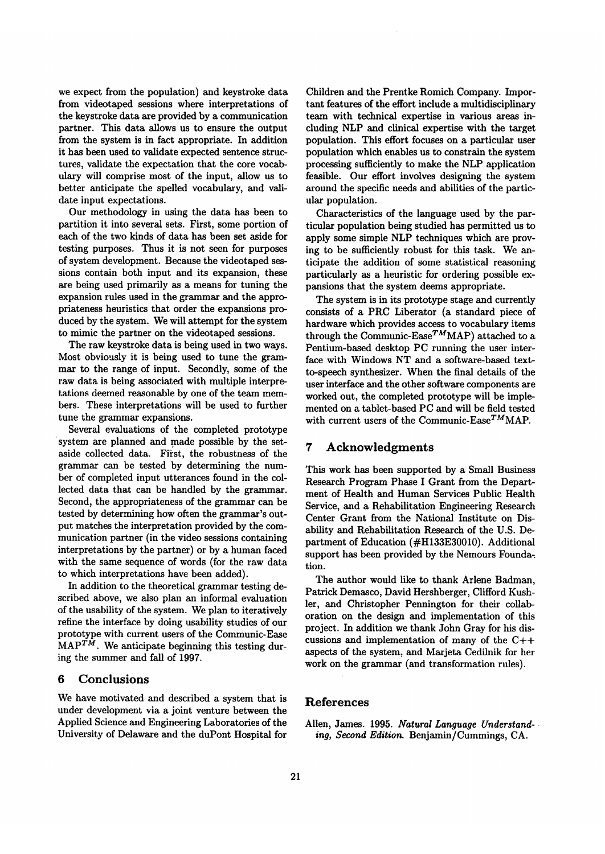we expect from the population) and keystroke data from videotaped sessions where interpretations of the keystroke data are provided by a communication partner. This data allows us to ensure the output from the system is in fact appropriate. In addition it has been used to validate expected sentence structures, validate the expectation that the core vocabulary will comprise most of the input, allow us to better anticipate the spelled vocabulary, and validate input expectations.

Our methodology in using the data has been to partition it into several sets. First, some portion of each of the two kinds of data has been set aside for testing purposes. Thus it is not seen for purposes of system development. Because the videotaped sessions contain both input and its expansion, these are being used primarily as a means for tuning the expansion rules used in the grammar and the appropriateness heuristics that order the expansions produced by the system. We will attempt for the system to mimic the partner on the videotaped sessions.

The raw keystroke data is being used in two ways. Most obviously it is being used to tune the grammar to the range of input. Secondly, some of the raw data is being associated with multiple interpretations deemed reasonable by one of the team members. These interpretations will be used to further tune the grammar expansions.

Several evaluations of the completed prototype system are planned and made possible by the setaside collected data. First, the robustness of the grammar can be tested by determining the number of completed input utterances found in the collected data that can be handled by the grammar. Second, the appropriateness of the grammar can be tested by determining how often the grammar's output matches the interpretation provided by the communication partner (in the video sessions containing interpretations by the partner) or by a human faced with the same sequence of words (for the raw data to which interpretations have been added).

In addition to the theoretical grammar testing described above, we also plan an informal evaluation of the usability of the system. We plan to iteratively refine the interface by doing usability studies of our prototype with current users of the Communic-Ease  $\mathrm{MAP}^T M$ . We anticipate beginning this testing during the summer and fall of 1997.

## **6 Conclusions**

We have motivated and described a system that is under development via a joint venture between the Applied Science and Engineering Laboratories of the University of Delaware and the duPont Hospital for

Children and the Prentke Romich Company. Important features of the effort include a multidisciplinary team with technical expertise in various areas including NLP and clinical expertise with the target population. This effort focuses on a particular user population which enables us to constrain the system processing sufficiently to make the NLP application feasible. Our effort involves designing the system around the specific needs and abilities of the particular population.

Characteristics of the language used by the particular population being studied has permitted us to apply some simple NLP techniques which are proving to be sufficiently robust for this task. We anticipate the addition of some statistical reasoning particularly as a heuristic for ordering possible expansions that the system deems appropriate.

The system is in its prototype stage and currently consists of a PRC Liberator (a standard piece of hardware which provides access to vocabulary items through the Communic-Ease<sup>TM</sup>MAP) attached to a Pentium-based desktop PC running the user interface with Windows NT and a software-based textto-speech synthesizer. When the final details of the user interface and the other software components are worked out, the completed prototype will be implemented on a tablet-based PC and will be field tested with current users of the Communic-Ease<sup>TM</sup>MAP.

#### **<sup>7</sup>**Acknowledgments

This work has been supported by a Small Business Research Program Phase I Grant from the Department of Health and Human Services Public Health Service, and a Rehabilitation Engineering Research Center Grant from the National Institute on Disability and Rehabilitation Research of the U.S. Department of Education (#H133E30010). Additional support has been provided by the Nemours Foundation.

The author would like to thank Arlene Badman, Patrick Demasco, David Hershberger, Clifford Kushler, and Christopher Pennington for their collaboration on the design and implementation of this project. In addition we thank John Gray for his discussions and implementation of many of the C++ aspects of the system, and Marjeta Cedilnik for her work on the grammar (and transformation rules).

#### **References**

Allen, James. 1995. *Natural Language Understanding, Second Edition.* Benjamin/Cummings, CA.